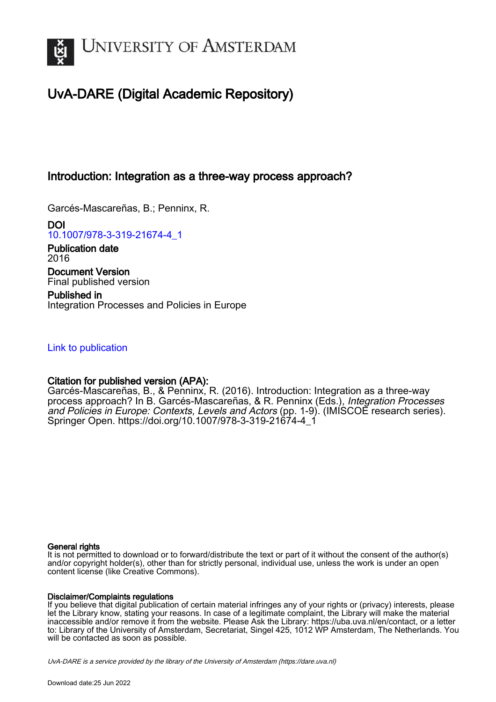

# UvA-DARE (Digital Academic Repository)

## Introduction: Integration as a three-way process approach?

Garcés-Mascareñas, B.; Penninx, R.

DOI [10.1007/978-3-319-21674-4\\_1](https://doi.org/10.1007/978-3-319-21674-4_1)

Publication date 2016 Document Version Final published version

Published in Integration Processes and Policies in Europe

## [Link to publication](https://dare.uva.nl/personal/pure/en/publications/introduction-integration-as-a-threeway-process-approach(08796f0f-21ff-41c5-8847-4f740cfeb38c).html)

### Citation for published version (APA):

Garcés-Mascareñas, B., & Penninx, R. (2016). Introduction: Integration as a three-way process approach? In B. Garcés-Mascareñas, & R. Penninx (Eds.), Integration Processes and Policies in Europe: Contexts, Levels and Actors (pp. 1-9). (IMISCOE research series). Springer Open. [https://doi.org/10.1007/978-3-319-21674-4\\_1](https://doi.org/10.1007/978-3-319-21674-4_1)

### General rights

It is not permitted to download or to forward/distribute the text or part of it without the consent of the author(s) and/or copyright holder(s), other than for strictly personal, individual use, unless the work is under an open content license (like Creative Commons).

### Disclaimer/Complaints regulations

If you believe that digital publication of certain material infringes any of your rights or (privacy) interests, please let the Library know, stating your reasons. In case of a legitimate complaint, the Library will make the material inaccessible and/or remove it from the website. Please Ask the Library: https://uba.uva.nl/en/contact, or a letter to: Library of the University of Amsterdam, Secretariat, Singel 425, 1012 WP Amsterdam, The Netherlands. You will be contacted as soon as possible.

UvA-DARE is a service provided by the library of the University of Amsterdam (http*s*://dare.uva.nl)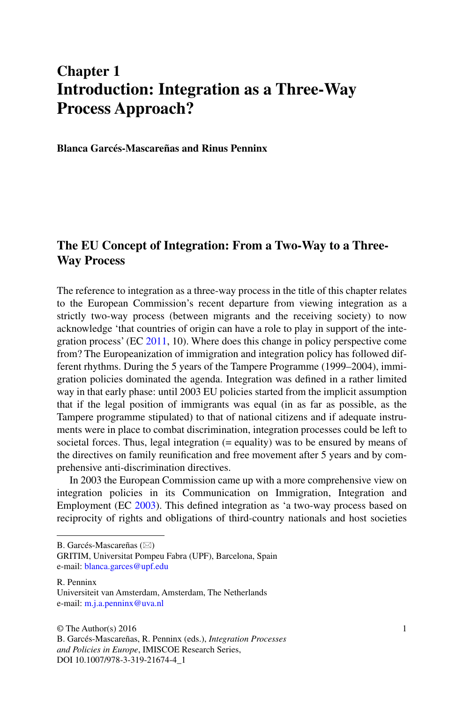## **Chapter 1 Introduction: Integration as a Three-Way Process Approach?**

 **Blanca Garcés-Mascareñas and Rinus Penninx** 

### **The EU Concept of Integration: From a Two-Way to a Three-Way Process**

 The reference to integration as a three-way process in the title of this chapter relates to the European Commission's recent departure from viewing integration as a strictly two-way process (between migrants and the receiving society) to now acknowledge 'that countries of origin can have a role to play in support of the integration process' (EC [2011](#page-9-0) , 10). Where does this change in policy perspective come from? The Europeanization of immigration and integration policy has followed different rhythms. During the 5 years of the Tampere Programme (1999–2004), immigration policies dominated the agenda. Integration was defined in a rather limited way in that early phase: until 2003 EU policies started from the implicit assumption that if the legal position of immigrants was equal (in as far as possible, as the Tampere programme stipulated) to that of national citizens and if adequate instruments were in place to combat discrimination, integration processes could be left to societal forces. Thus, legal integration (= equality) was to be ensured by means of the directives on family reunification and free movement after 5 years and by comprehensive anti-discrimination directives.

 In 2003 the European Commission came up with a more comprehensive view on integration policies in its Communication on Immigration, Integration and Employment (EC 2003). This defined integration as 'a two-way process based on reciprocity of rights and obligations of third-country nationals and host societies

B. Garcés-Mascareñas  $(\boxtimes)$ 

R. Penninx

```
\odot The Author(s) 2016 1
```
GRITIM, Universitat Pompeu Fabra (UPF), Barcelona, Spain e-mail: [blanca.garces@upf.edu](mailto:blanca.garces@upf.edu)

Universiteit van Amsterdam, Amsterdam, The Netherlands e-mail: [m.j.a.penninx@uva.nl](mailto:m.j.a.penninx@uva.nl)

B. Garcés-Mascareñas, R. Penninx (eds.), *Integration Processes and Policies in Europe*, IMISCOE Research Series, DOI 10.1007/978-3-319-21674-4\_1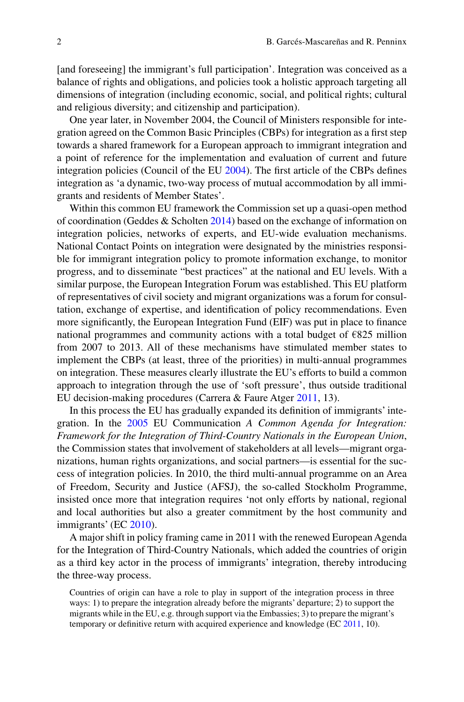[and foreseeing] the immigrant's full participation'. Integration was conceived as a balance of rights and obligations, and policies took a holistic approach targeting all dimensions of integration (including economic, social, and political rights; cultural and religious diversity; and citizenship and participation).

 One year later, in November 2004, the Council of Ministers responsible for integration agreed on the Common Basic Principles (CBPs) for integration as a first step towards a shared framework for a European approach to immigrant integration and a point of reference for the implementation and evaluation of current and future integration policies (Council of the EU  $2004$ ). The first article of the CBPs defines integration as 'a dynamic, two-way process of mutual accommodation by all immigrants and residents of Member States'.

 Within this common EU framework the Commission set up a quasi-open method of coordination (Geddes & Scholten [2014](#page-9-0)) based on the exchange of information on integration policies, networks of experts, and EU-wide evaluation mechanisms. National Contact Points on integration were designated by the ministries responsible for immigrant integration policy to promote information exchange, to monitor progress, and to disseminate "best practices" at the national and EU levels. With a similar purpose, the European Integration Forum was established. This EU platform of representatives of civil society and migrant organizations was a forum for consultation, exchange of expertise, and identification of policy recommendations. Even more significantly, the European Integration Fund (EIF) was put in place to finance national programmes and community actions with a total budget of  $\epsilon$ 825 million from 2007 to 2013. All of these mechanisms have stimulated member states to implement the CBPs (at least, three of the priorities) in multi-annual programmes on integration. These measures clearly illustrate the EU's efforts to build a common approach to integration through the use of 'soft pressure', thus outside traditional EU decision-making procedures (Carrera & Faure Atger [2011](#page-9-0), 13).

In this process the EU has gradually expanded its definition of immigrants' integration. In the [2005](#page-9-0) EU Communication *A Common Agenda for Integration: Framework for the Integration of Third-Country Nationals in the European Union* , the Commission states that involvement of stakeholders at all levels—migrant organizations, human rights organizations, and social partners—is essential for the success of integration policies. In 2010, the third multi-annual programme on an Area of Freedom, Security and Justice (AFSJ), the so-called Stockholm Programme, insisted once more that integration requires 'not only efforts by national, regional and local authorities but also a greater commitment by the host community and immigrants' (EC [2010](#page-9-0)).

 A major shift in policy framing came in 2011 with the renewed European Agenda for the Integration of Third-Country Nationals, which added the countries of origin as a third key actor in the process of immigrants' integration, thereby introducing the three-way process.

 Countries of origin can have a role to play in support of the integration process in three ways: 1) to prepare the integration already before the migrants' departure; 2) to support the migrants while in the EU, e.g. through support via the Embassies; 3) to prepare the migrant's temporary or definitive return with acquired experience and knowledge ( $EC$  [2011](#page-9-0), 10).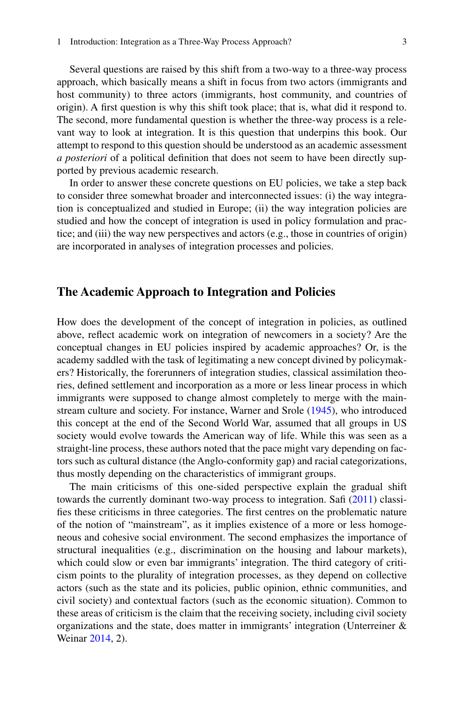Several questions are raised by this shift from a two-way to a three-way process approach, which basically means a shift in focus from two actors (immigrants and host community) to three actors (immigrants, host community, and countries of origin). A first question is why this shift took place; that is, what did it respond to. The second, more fundamental question is whether the three-way process is a relevant way to look at integration. It is this question that underpins this book. Our attempt to respond to this question should be understood as an academic assessment *a posteriori* of a political definition that does not seem to have been directly supported by previous academic research.

 In order to answer these concrete questions on EU policies, we take a step back to consider three somewhat broader and interconnected issues: (i) the way integration is conceptualized and studied in Europe; (ii) the way integration policies are studied and how the concept of integration is used in policy formulation and practice; and (iii) the way new perspectives and actors (e.g., those in countries of origin) are incorporated in analyses of integration processes and policies.

#### **The Academic Approach to Integration and Policies**

 How does the development of the concept of integration in policies, as outlined above, reflect academic work on integration of newcomers in a society? Are the conceptual changes in EU policies inspired by academic approaches? Or, is the academy saddled with the task of legitimating a new concept divined by policymakers? Historically, the forerunners of integration studies, classical assimilation theories, defined settlement and incorporation as a more or less linear process in which immigrants were supposed to change almost completely to merge with the mainstream culture and society. For instance, Warner and Srole [\( 1945](#page-9-0) ), who introduced this concept at the end of the Second World War, assumed that all groups in US society would evolve towards the American way of life. While this was seen as a straight-line process, these authors noted that the pace might vary depending on factors such as cultural distance (the Anglo-conformity gap) and racial categorizations, thus mostly depending on the characteristics of immigrant groups.

 The main criticisms of this one-sided perspective explain the gradual shift towards the currently dominant two-way process to integration. Safi (2011) classifies these criticisms in three categories. The first centres on the problematic nature of the notion of "mainstream", as it implies existence of a more or less homogeneous and cohesive social environment. The second emphasizes the importance of structural inequalities (e.g., discrimination on the housing and labour markets), which could slow or even bar immigrants' integration. The third category of criticism points to the plurality of integration processes, as they depend on collective actors (such as the state and its policies, public opinion, ethnic communities, and civil society) and contextual factors (such as the economic situation). Common to these areas of criticism is the claim that the receiving society, including civil society organizations and the state, does matter in immigrants' integration (Unterreiner & Weinar 2014, 2).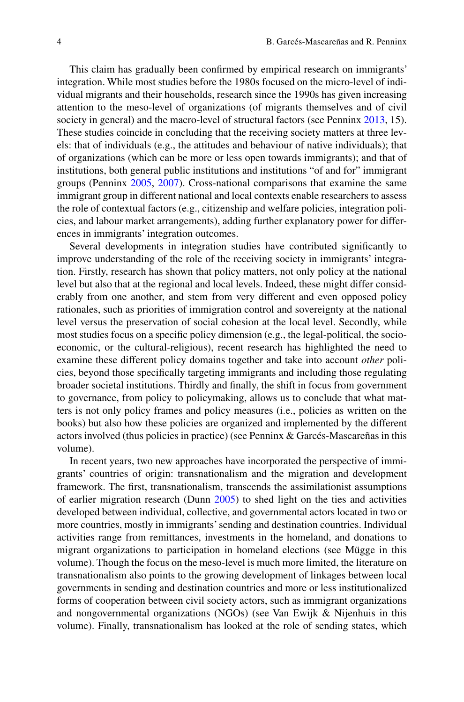This claim has gradually been confirmed by empirical research on immigrants' integration. While most studies before the 1980s focused on the micro-level of individual migrants and their households, research since the 1990s has given increasing attention to the meso-level of organizations (of migrants themselves and of civil society in general) and the macro-level of structural factors (see Penninx 2013, 15). These studies coincide in concluding that the receiving society matters at three levels: that of individuals (e.g., the attitudes and behaviour of native individuals); that of organizations (which can be more or less open towards immigrants); and that of institutions, both general public institutions and institutions "of and for" immigrant groups (Penninx [2005 ,](#page-9-0) [2007 \)](#page-9-0). Cross-national comparisons that examine the same immigrant group in different national and local contexts enable researchers to assess the role of contextual factors (e.g., citizenship and welfare policies, integration policies, and labour market arrangements), adding further explanatory power for differences in immigrants' integration outcomes.

Several developments in integration studies have contributed significantly to improve understanding of the role of the receiving society in immigrants' integration. Firstly, research has shown that policy matters, not only policy at the national level but also that at the regional and local levels. Indeed, these might differ considerably from one another, and stem from very different and even opposed policy rationales, such as priorities of immigration control and sovereignty at the national level versus the preservation of social cohesion at the local level. Secondly, while most studies focus on a specific policy dimension (e.g., the legal-political, the socioeconomic, or the cultural-religious), recent research has highlighted the need to examine these different policy domains together and take into account *other* policies, beyond those specifically targeting immigrants and including those regulating broader societal institutions. Thirdly and finally, the shift in focus from government to governance, from policy to policymaking, allows us to conclude that what matters is not only policy frames and policy measures (i.e., policies as written on the books) but also how these policies are organized and implemented by the different actors involved (thus policies in practice) (see Penninx & Garcés-Mascareñas in this volume).

 In recent years, two new approaches have incorporated the perspective of immigrants' countries of origin: transnationalism and the migration and development framework. The first, transnationalism, transcends the assimilationist assumptions of earlier migration research (Dunn [2005](#page-9-0) ) to shed light on the ties and activities developed between individual, collective, and governmental actors located in two or more countries, mostly in immigrants' sending and destination countries. Individual activities range from remittances, investments in the homeland, and donations to migrant organizations to participation in homeland elections (see Mügge in this volume). Though the focus on the meso-level is much more limited, the literature on transnationalism also points to the growing development of linkages between local governments in sending and destination countries and more or less institutionalized forms of cooperation between civil society actors, such as immigrant organizations and nongovernmental organizations (NGOs) (see Van Ewijk & Nijenhuis in this volume). Finally, transnationalism has looked at the role of sending states, which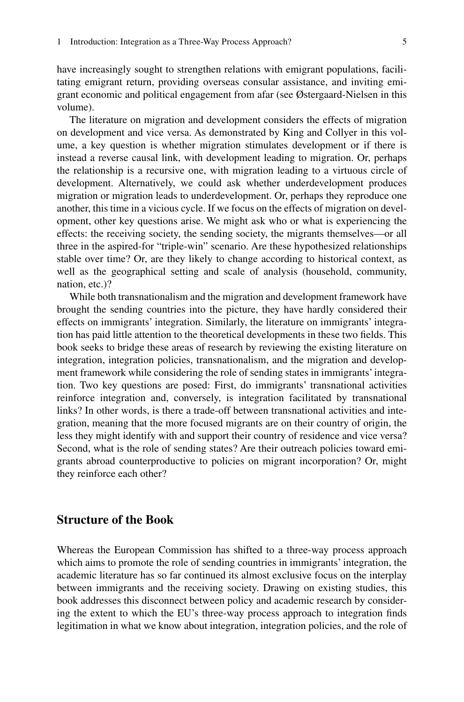have increasingly sought to strengthen relations with emigrant populations, facilitating emigrant return, providing overseas consular assistance, and inviting emigrant economic and political engagement from afar (see Østergaard-Nielsen in this volume).

 The literature on migration and development considers the effects of migration on development and vice versa. As demonstrated by King and Collyer in this volume, a key question is whether migration stimulates development or if there is instead a reverse causal link, with development leading to migration. Or, perhaps the relationship is a recursive one, with migration leading to a virtuous circle of development. Alternatively, we could ask whether underdevelopment produces migration or migration leads to underdevelopment. Or, perhaps they reproduce one another, this time in a vicious cycle. If we focus on the effects of migration on development, other key questions arise. We might ask who or what is experiencing the effects: the receiving society, the sending society, the migrants themselves—or all three in the aspired-for "triple-win" scenario. Are these hypothesized relationships stable over time? Or, are they likely to change according to historical context, as well as the geographical setting and scale of analysis (household, community, nation, etc.)?

 While both transnationalism and the migration and development framework have brought the sending countries into the picture, they have hardly considered their effects on immigrants' integration. Similarly, the literature on immigrants' integration has paid little attention to the theoretical developments in these two fields. This book seeks to bridge these areas of research by reviewing the existing literature on integration, integration policies, transnationalism, and the migration and development framework while considering the role of sending states in immigrants' integration. Two key questions are posed: First, do immigrants' transnational activities reinforce integration and, conversely, is integration facilitated by transnational links? In other words, is there a trade-off between transnational activities and integration, meaning that the more focused migrants are on their country of origin, the less they might identify with and support their country of residence and vice versa? Second, what is the role of sending states? Are their outreach policies toward emigrants abroad counterproductive to policies on migrant incorporation? Or, might they reinforce each other?

#### **Structure of the Book**

 Whereas the European Commission has shifted to a three-way process approach which aims to promote the role of sending countries in immigrants' integration, the academic literature has so far continued its almost exclusive focus on the interplay between immigrants and the receiving society. Drawing on existing studies, this book addresses this disconnect between policy and academic research by considering the extent to which the EU's three-way process approach to integration finds legitimation in what we know about integration, integration policies, and the role of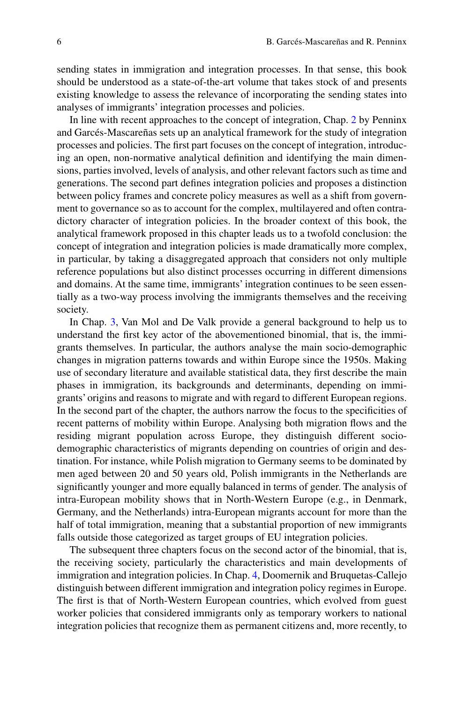sending states in immigration and integration processes. In that sense, this book should be understood as a state-of-the-art volume that takes stock of and presents existing knowledge to assess the relevance of incorporating the sending states into analyses of immigrants' integration processes and policies.

 In line with recent approaches to the concept of integration, Chap. [2](http://dx.doi.org/10.1007/978-3-319-21674-4_2) by Penninx and Garcés-Mascareñas sets up an analytical framework for the study of integration processes and policies. The first part focuses on the concept of integration, introducing an open, non-normative analytical definition and identifying the main dimensions, parties involved, levels of analysis, and other relevant factors such as time and generations. The second part defines integration policies and proposes a distinction between policy frames and concrete policy measures as well as a shift from government to governance so as to account for the complex, multilayered and often contradictory character of integration policies. In the broader context of this book, the analytical framework proposed in this chapter leads us to a twofold conclusion: the concept of integration and integration policies is made dramatically more complex, in particular, by taking a disaggregated approach that considers not only multiple reference populations but also distinct processes occurring in different dimensions and domains. At the same time, immigrants' integration continues to be seen essentially as a two-way process involving the immigrants themselves and the receiving society.

 In Chap. [3,](http://dx.doi.org/10.1007/978-3-319-21674-4_3) Van Mol and De Valk provide a general background to help us to understand the first key actor of the abovementioned binomial, that is, the immigrants themselves. In particular, the authors analyse the main socio-demographic changes in migration patterns towards and within Europe since the 1950s. Making use of secondary literature and available statistical data, they first describe the main phases in immigration, its backgrounds and determinants, depending on immigrants' origins and reasons to migrate and with regard to different European regions. In the second part of the chapter, the authors narrow the focus to the specificities of recent patterns of mobility within Europe. Analysing both migration flows and the residing migrant population across Europe, they distinguish different sociodemographic characteristics of migrants depending on countries of origin and destination. For instance, while Polish migration to Germany seems to be dominated by men aged between 20 and 50 years old, Polish immigrants in the Netherlands are significantly younger and more equally balanced in terms of gender. The analysis of intra-European mobility shows that in North-Western Europe (e.g., in Denmark, Germany, and the Netherlands) intra-European migrants account for more than the half of total immigration, meaning that a substantial proportion of new immigrants falls outside those categorized as target groups of EU integration policies.

 The subsequent three chapters focus on the second actor of the binomial, that is, the receiving society, particularly the characteristics and main developments of immigration and integration policies. In Chap. [4,](http://dx.doi.org/10.1007/978-3-319-21674-4_4) Doomernik and Bruquetas-Callejo distinguish between different immigration and integration policy regimes in Europe. The first is that of North-Western European countries, which evolved from guest worker policies that considered immigrants only as temporary workers to national integration policies that recognize them as permanent citizens and, more recently, to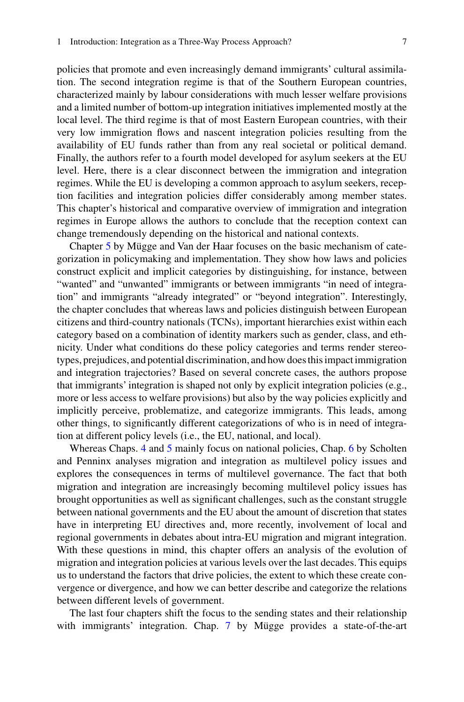policies that promote and even increasingly demand immigrants' cultural assimilation. The second integration regime is that of the Southern European countries, characterized mainly by labour considerations with much lesser welfare provisions and a limited number of bottom-up integration initiatives implemented mostly at the local level. The third regime is that of most Eastern European countries, with their very low immigration flows and nascent integration policies resulting from the availability of EU funds rather than from any real societal or political demand. Finally, the authors refer to a fourth model developed for asylum seekers at the EU level. Here, there is a clear disconnect between the immigration and integration regimes. While the EU is developing a common approach to asylum seekers, reception facilities and integration policies differ considerably among member states. This chapter's historical and comparative overview of immigration and integration regimes in Europe allows the authors to conclude that the reception context can change tremendously depending on the historical and national contexts.

 Chapter [5](http://dx.doi.org/10.1007/978-3-319-21674-4_5) by Mügge and Van der Haar focuses on the basic mechanism of categorization in policymaking and implementation. They show how laws and policies construct explicit and implicit categories by distinguishing, for instance, between "wanted" and "unwanted" immigrants or between immigrants "in need of integration" and immigrants "already integrated" or "beyond integration". Interestingly, the chapter concludes that whereas laws and policies distinguish between European citizens and third-country nationals (TCNs), important hierarchies exist within each category based on a combination of identity markers such as gender, class, and ethnicity. Under what conditions do these policy categories and terms render stereotypes, prejudices, and potential discrimination, and how does this impact immigration and integration trajectories? Based on several concrete cases, the authors propose that immigrants' integration is shaped not only by explicit integration policies (e.g., more or less access to welfare provisions) but also by the way policies explicitly and implicitly perceive, problematize, and categorize immigrants. This leads, among other things, to significantly different categorizations of who is in need of integration at different policy levels (i.e., the EU, national, and local).

Whereas Chaps. [4](http://dx.doi.org/10.1007/978-3-319-21674-4_4) and [5](http://dx.doi.org/10.1007/978-3-319-21674-4_5) mainly focus on national policies, Chap. [6](http://dx.doi.org/10.1007/978-3-319-21674-4_6) by Scholten and Penninx analyses migration and integration as multilevel policy issues and explores the consequences in terms of multilevel governance. The fact that both migration and integration are increasingly becoming multilevel policy issues has brought opportunities as well as significant challenges, such as the constant struggle between national governments and the EU about the amount of discretion that states have in interpreting EU directives and, more recently, involvement of local and regional governments in debates about intra-EU migration and migrant integration. With these questions in mind, this chapter offers an analysis of the evolution of migration and integration policies at various levels over the last decades. This equips us to understand the factors that drive policies, the extent to which these create convergence or divergence, and how we can better describe and categorize the relations between different levels of government.

 The last four chapters shift the focus to the sending states and their relationship with immigrants' integration. Chap. [7](http://dx.doi.org/10.1007/978-3-319-21674-4_7) by Mügge provides a state-of-the-art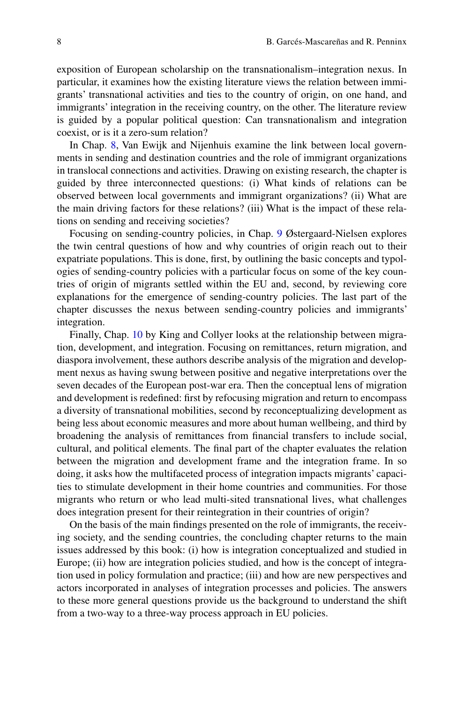exposition of European scholarship on the transnationalism–integration nexus. In particular, it examines how the existing literature views the relation between immigrants' transnational activities and ties to the country of origin, on one hand, and immigrants' integration in the receiving country, on the other. The literature review is guided by a popular political question: Can transnationalism and integration coexist, or is it a zero-sum relation?

 In Chap. [8,](http://dx.doi.org/10.1007/978-3-319-21674-4_8) Van Ewijk and Nijenhuis examine the link between local governments in sending and destination countries and the role of immigrant organizations in translocal connections and activities. Drawing on existing research, the chapter is guided by three interconnected questions: (i) What kinds of relations can be observed between local governments and immigrant organizations? (ii) What are the main driving factors for these relations? (iii) What is the impact of these relations on sending and receiving societies?

 Focusing on sending-country policies, in Chap. [9](http://dx.doi.org/10.1007/978-3-319-21674-4_9) Østergaard-Nielsen explores the twin central questions of how and why countries of origin reach out to their expatriate populations. This is done, first, by outlining the basic concepts and typologies of sending-country policies with a particular focus on some of the key countries of origin of migrants settled within the EU and, second, by reviewing core explanations for the emergence of sending-country policies. The last part of the chapter discusses the nexus between sending-country policies and immigrants' integration.

 Finally, Chap. [10](http://dx.doi.org/10.1007/978-3-319-21674-4_10) by King and Collyer looks at the relationship between migration, development, and integration. Focusing on remittances, return migration, and diaspora involvement, these authors describe analysis of the migration and development nexus as having swung between positive and negative interpretations over the seven decades of the European post-war era. Then the conceptual lens of migration and development is redefined: first by refocusing migration and return to encompass a diversity of transnational mobilities, second by reconceptualizing development as being less about economic measures and more about human wellbeing, and third by broadening the analysis of remittances from financial transfers to include social, cultural, and political elements. The final part of the chapter evaluates the relation between the migration and development frame and the integration frame. In so doing, it asks how the multifaceted process of integration impacts migrants' capacities to stimulate development in their home countries and communities. For those migrants who return or who lead multi-sited transnational lives, what challenges does integration present for their reintegration in their countries of origin?

On the basis of the main findings presented on the role of immigrants, the receiving society, and the sending countries, the concluding chapter returns to the main issues addressed by this book: (i) how is integration conceptualized and studied in Europe; (ii) how are integration policies studied, and how is the concept of integration used in policy formulation and practice; (iii) and how are new perspectives and actors incorporated in analyses of integration processes and policies. The answers to these more general questions provide us the background to understand the shift from a two-way to a three-way process approach in EU policies.